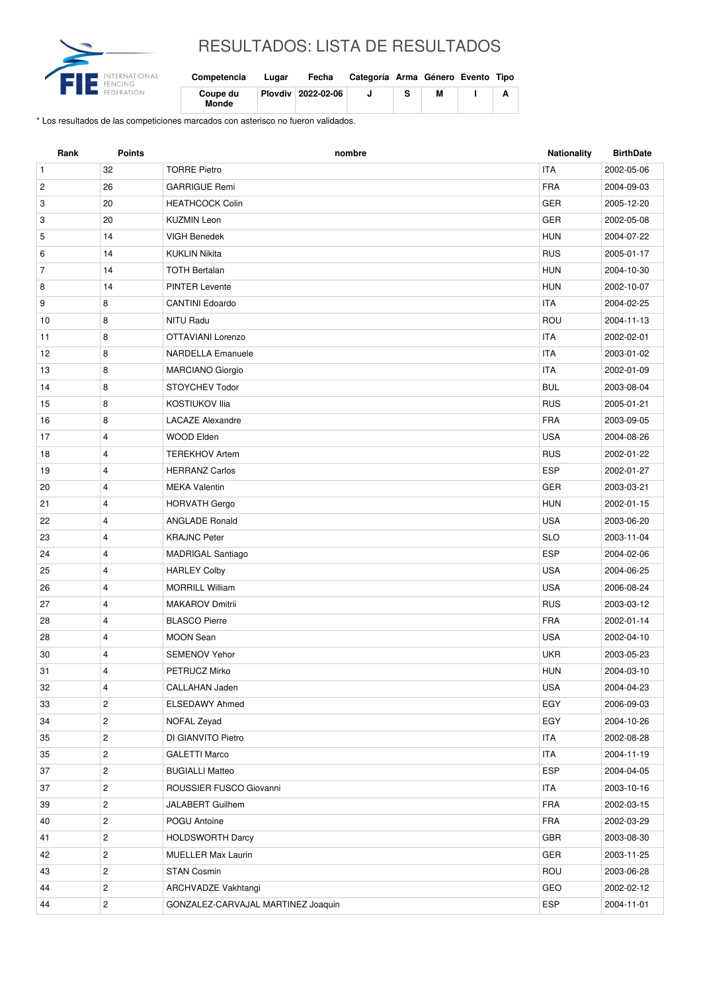

## RESULTADOS: LISTA DE RESULTADOS

| Competencia              | Lugar | Fecha              | Categoría Arma Género Evento Tipo |   |  |
|--------------------------|-------|--------------------|-----------------------------------|---|--|
| Coupe du<br><b>Monde</b> |       | Plovdiv 2022-02-06 |                                   | м |  |

\* Los resultados de las competiciones marcados con asterisco no fueron validados.

| Rank           | <b>Points</b>           | nombre                             | Nationality | <b>BirthDate</b> |
|----------------|-------------------------|------------------------------------|-------------|------------------|
| $\mathbf{1}$   | 32                      | <b>TORRE Pietro</b>                | <b>ITA</b>  | 2002-05-06       |
| $\overline{c}$ | 26                      | <b>GARRIGUE Remi</b>               | <b>FRA</b>  | 2004-09-03       |
| 3              | 20                      | <b>HEATHCOCK Colin</b>             | <b>GER</b>  | 2005-12-20       |
| 3              | 20                      | <b>KUZMIN Leon</b>                 | <b>GER</b>  | 2002-05-08       |
| 5              | 14                      | <b>VIGH Benedek</b>                | <b>HUN</b>  | 2004-07-22       |
| 6              | 14                      | <b>KUKLIN Nikita</b>               | <b>RUS</b>  | 2005-01-17       |
| $\overline{7}$ | 14                      | <b>TOTH Bertalan</b>               | <b>HUN</b>  | 2004-10-30       |
| 8              | 14                      | <b>PINTER Levente</b>              | <b>HUN</b>  | 2002-10-07       |
| 9              | 8                       | <b>CANTINI Edoardo</b>             | <b>ITA</b>  | 2004-02-25       |
| 10             | 8                       | NITU Radu                          | ROU         | 2004-11-13       |
| 11             | 8                       | OTTAVIANI Lorenzo                  | <b>ITA</b>  | 2002-02-01       |
| 12             | 8                       | <b>NARDELLA Emanuele</b>           | <b>ITA</b>  | 2003-01-02       |
| 13             | 8                       | <b>MARCIANO Giorgio</b>            | <b>ITA</b>  | 2002-01-09       |
| 14             | 8                       | <b>STOYCHEV Todor</b>              | <b>BUL</b>  | 2003-08-04       |
| 15             | 8                       | <b>KOSTIUKOV Ilia</b>              | <b>RUS</b>  | 2005-01-21       |
| 16             | 8                       | <b>LACAZE Alexandre</b>            | <b>FRA</b>  | 2003-09-05       |
| 17             | $\overline{4}$          | <b>WOOD Elden</b>                  | <b>USA</b>  | 2004-08-26       |
| 18             | 4                       | <b>TEREKHOV Artem</b>              | <b>RUS</b>  | 2002-01-22       |
| 19             | 4                       | <b>HERRANZ Carlos</b>              | <b>ESP</b>  | 2002-01-27       |
| 20             | $\overline{4}$          | <b>MEKA Valentin</b>               | GER         | 2003-03-21       |
| 21             | 4                       | <b>HORVATH Gergo</b>               | <b>HUN</b>  | 2002-01-15       |
| 22             | 4                       | <b>ANGLADE Ronald</b>              | <b>USA</b>  | 2003-06-20       |
| 23             | 4                       | <b>KRAJNC Peter</b>                | <b>SLO</b>  | 2003-11-04       |
| 24             | 4                       | <b>MADRIGAL Santiago</b>           | <b>ESP</b>  | 2004-02-06       |
| 25             | 4                       | <b>HARLEY Colby</b>                | <b>USA</b>  | 2004-06-25       |
| 26             | 4                       | <b>MORRILL William</b>             | <b>USA</b>  | 2006-08-24       |
| 27             | 4                       | <b>MAKAROV Dmitrii</b>             | <b>RUS</b>  | 2003-03-12       |
| 28             | 4                       | <b>BLASCO Pierre</b>               | <b>FRA</b>  | 2002-01-14       |
| 28             | 4                       | <b>MOON Sean</b>                   | <b>USA</b>  | 2002-04-10       |
| 30             | 4                       | <b>SEMENOV Yehor</b>               | <b>UKR</b>  | 2003-05-23       |
| 31             | 4                       | PETRUCZ Mirko                      | <b>HUN</b>  | 2004-03-10       |
| 32             | 4                       | CALLAHAN Jaden                     | <b>USA</b>  | 2004-04-23       |
| 33             | $\overline{c}$          | ELSEDAWY Ahmed                     | EGY         | 2006-09-03       |
| 34             | $\mathbf{2}$            | NOFAL Zeyad                        | EGY         | 2004-10-26       |
| 35             | $\overline{c}$          | DI GIANVITO Pietro                 | ITA         | 2002-08-28       |
| 35             | $\overline{c}$          | <b>GALETTI Marco</b>               | <b>ITA</b>  | 2004-11-19       |
| 37             | $\overline{c}$          | <b>BUGIALLI Matteo</b>             | <b>ESP</b>  | 2004-04-05       |
| 37             | $\overline{c}$          | ROUSSIER FUSCO Giovanni            | <b>ITA</b>  | 2003-10-16       |
| 39             | $\overline{c}$          | JALABERT Guilhem                   | <b>FRA</b>  | 2002-03-15       |
| 40             | $\overline{c}$          | POGU Antoine                       | FRA         | 2002-03-29       |
| 41             | $\overline{c}$          | <b>HOLDSWORTH Darcy</b>            | GBR         | 2003-08-30       |
| 42             | $\overline{c}$          | <b>MUELLER Max Laurin</b>          | GER         | 2003-11-25       |
| 43             | $\overline{c}$          | STAN Cosmin                        | ROU         | 2003-06-28       |
| 44             | $\overline{c}$          | ARCHVADZE Vakhtangi                | GEO         | 2002-02-12       |
| 44             | $\overline{\mathbf{c}}$ | GONZALEZ-CARVAJAL MARTINEZ Joaquin | ESP         | 2004-11-01       |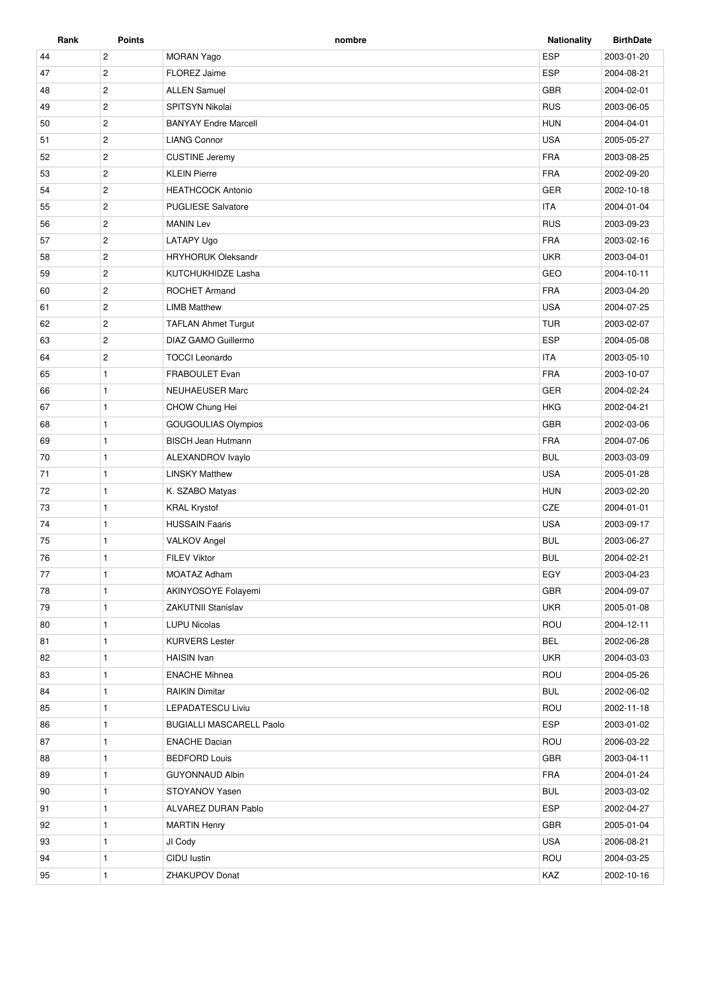| Rank | <b>Points</b>  | nombre                          | <b>Nationality</b> | <b>BirthDate</b> |
|------|----------------|---------------------------------|--------------------|------------------|
| 44   | $\overline{c}$ | <b>MORAN Yago</b>               | <b>ESP</b>         | 2003-01-20       |
| 47   | $\overline{2}$ | <b>FLOREZ Jaime</b>             | <b>ESP</b>         | 2004-08-21       |
| 48   | $\overline{c}$ | <b>ALLEN Samuel</b>             | <b>GBR</b>         | 2004-02-01       |
| 49   | $\mathbf{2}$   | SPITSYN Nikolai                 | <b>RUS</b>         | 2003-06-05       |
| 50   | $\overline{c}$ | <b>BANYAY Endre Marcell</b>     | <b>HUN</b>         | 2004-04-01       |
| 51   | $\overline{2}$ | <b>LIANG Connor</b>             | <b>USA</b>         | 2005-05-27       |
| 52   | $\overline{2}$ | <b>CUSTINE Jeremy</b>           | <b>FRA</b>         | 2003-08-25       |
| 53   | $\overline{2}$ | <b>KLEIN Pierre</b>             | <b>FRA</b>         | 2002-09-20       |
| 54   | $\overline{2}$ | <b>HEATHCOCK Antonio</b>        | GER                | 2002-10-18       |
| 55   | $\overline{2}$ | <b>PUGLIESE Salvatore</b>       | <b>ITA</b>         | 2004-01-04       |
| 56   | $\overline{c}$ | <b>MANIN Lev</b>                | <b>RUS</b>         | 2003-09-23       |
| 57   | $\overline{2}$ | LATAPY Ugo                      | <b>FRA</b>         | 2003-02-16       |
| 58   | $\overline{2}$ | <b>HRYHORUK Oleksandr</b>       | <b>UKR</b>         | 2003-04-01       |
| 59   | $\overline{2}$ | KUTCHUKHIDZE Lasha              | GEO                | 2004-10-11       |
| 60   | $\overline{2}$ | <b>ROCHET Armand</b>            | <b>FRA</b>         | 2003-04-20       |
| 61   | $\overline{2}$ | <b>LIMB Matthew</b>             | <b>USA</b>         | 2004-07-25       |
| 62   | $\overline{2}$ | <b>TAFLAN Ahmet Turgut</b>      | <b>TUR</b>         | 2003-02-07       |
| 63   | $\overline{c}$ | DIAZ GAMO Guillermo             | <b>ESP</b>         | 2004-05-08       |
| 64   | $\overline{2}$ | <b>TOCCI Leonardo</b>           | <b>ITA</b>         | 2003-05-10       |
| 65   | $\mathbf{1}$   | FRABOULET Evan                  | <b>FRA</b>         | 2003-10-07       |
| 66   | $\mathbf{1}$   | <b>NEUHAEUSER Marc</b>          | <b>GER</b>         | 2004-02-24       |
| 67   | $\mathbf{1}$   | CHOW Chung Hei                  | <b>HKG</b>         | 2002-04-21       |
| 68   | $\mathbf{1}$   | <b>GOUGOULIAS Olympios</b>      | <b>GBR</b>         | 2002-03-06       |
| 69   | $\mathbf{1}$   | <b>BISCH Jean Hutmann</b>       | <b>FRA</b>         | 2004-07-06       |
| 70   | $\mathbf{1}$   | ALEXANDROV Ivaylo               | <b>BUL</b>         | 2003-03-09       |
| 71   | $\mathbf{1}$   | <b>LINSKY Matthew</b>           | <b>USA</b>         | 2005-01-28       |
| 72   | $\mathbf{1}$   | K. SZABO Matyas                 | <b>HUN</b>         | 2003-02-20       |
| 73   | $\mathbf{1}$   | <b>KRAL Krystof</b>             | CZE                | 2004-01-01       |
| 74   | $\mathbf{1}$   | <b>HUSSAIN Faaris</b>           | <b>USA</b>         | 2003-09-17       |
| 75   | $\mathbf{1}$   | <b>VALKOV Angel</b>             | <b>BUL</b>         | 2003-06-27       |
| 76   | $\mathbf{1}$   | <b>FILEV Viktor</b>             | <b>BUL</b>         | 2004-02-21       |
| 77   | $\mathbf{1}$   | MOATAZ Adham                    | EGY                | 2003-04-23       |
| 78   | $\mathbf{1}$   | AKINYOSOYE Folayemi             | GBR                | 2004-09-07       |
| 79   | $\mathbf{1}$   | ZAKUTNII Stanislav              | <b>UKR</b>         | 2005-01-08       |
| 80   | $\mathbf{1}$   | <b>LUPU Nicolas</b>             | ROU                | 2004-12-11       |
| 81   | $\mathbf{1}$   | <b>KURVERS Lester</b>           | <b>BEL</b>         | 2002-06-28       |
| 82   | $\mathbf{1}$   | <b>HAISIN</b> Ivan              | <b>UKR</b>         | 2004-03-03       |
| 83   | $\mathbf{1}$   | <b>ENACHE Mihnea</b>            | ROU                | 2004-05-26       |
| 84   | $\mathbf{1}$   | <b>RAIKIN Dimitar</b>           | <b>BUL</b>         | 2002-06-02       |
| 85   | $\mathbf{1}$   | <b>LEPADATESCU Liviu</b>        | ROU                | 2002-11-18       |
| 86   | $\mathbf{1}$   | <b>BUGIALLI MASCARELL Paolo</b> | ESP                | 2003-01-02       |
| 87   | $\mathbf{1}$   | <b>ENACHE Dacian</b>            | ROU                | 2006-03-22       |
| 88   | $\mathbf{1}$   | <b>BEDFORD Louis</b>            | <b>GBR</b>         | 2003-04-11       |
| 89   | $\mathbf{1}$   | <b>GUYONNAUD Albin</b>          | FRA                | 2004-01-24       |
| 90   | $\mathbf{1}$   | STOYANOV Yasen                  | <b>BUL</b>         | 2003-03-02       |
| 91   | $\mathbf{1}$   | ALVAREZ DURAN Pablo             | ESP                | 2002-04-27       |
| 92   | $\mathbf{1}$   | <b>MARTIN Henry</b>             | <b>GBR</b>         | 2005-01-04       |
| 93   | $\mathbf{1}$   | JI Cody                         | <b>USA</b>         | 2006-08-21       |
| 94   | $\mathbf{1}$   | CIDU lustin                     | ROU                | 2004-03-25       |
| 95   | 1              | ZHAKUPOV Donat                  | KAZ                | 2002-10-16       |
|      |                |                                 |                    |                  |